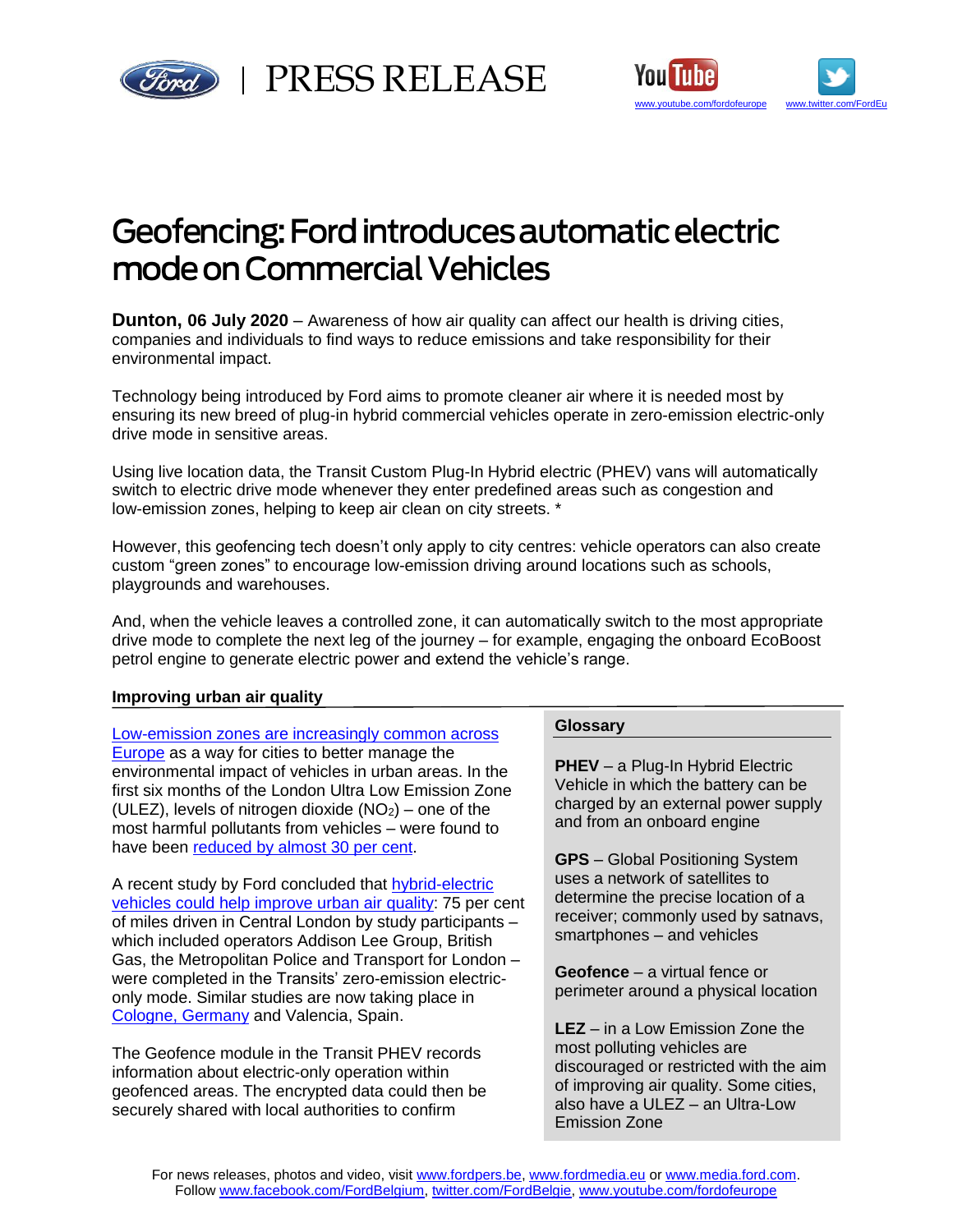



# Geofencing: Ford introduces automatic electric mode on Commercial Vehicles

**Dunton, 06 July 2020** – Awareness of how air quality can affect our health is driving cities, companies and individuals to find ways to reduce emissions and take responsibility for their environmental impact.

Technology being introduced by Ford aims to promote cleaner air where it is needed most by ensuring its new breed of plug-in hybrid commercial vehicles operate in zero-emission electric-only drive mode in sensitive areas.

Using live location data, the Transit Custom Plug-In Hybrid electric (PHEV) vans will automatically switch to electric drive mode whenever they enter predefined areas such as congestion and low-emission zones, helping to keep air clean on city streets. \*

However, this geofencing tech doesn't only apply to city centres: vehicle operators can also create custom "green zones" to encourage low-emission driving around locations such as schools, playgrounds and warehouses.

And, when the vehicle leaves a controlled zone, it can automatically switch to the most appropriate drive mode to complete the next leg of the journey – for example, engaging the onboard EcoBoost petrol engine to generate electric power and extend the vehicle's range.

# **Improving urban air quality**

[Low-emission zones are increasingly](https://urbanaccessregulations.eu/) common across [Europe](https://urbanaccessregulations.eu/) as a way for cities to better manage the environmental impact of vehicles in urban areas. In the first six months of the London Ultra Low Emission Zone (ULEZ), levels of nitrogen dioxide  $(NO<sub>2</sub>)$  – one of the most harmful pollutants from vehicles – were found to have been [reduced by almost 30 per cent.](https://www.london.gov.uk/sites/default/files/ulez_six_month_evaluation_report_oct19.pdf)

A recent study by Ford concluded that [hybrid-electric](https://media.ford.com/content/fordmedia/feu/en/news/2019/07/08/hybrid-electric-vans-present-practical--accessible-solution-for-.html)  vehicles could [help improve urban air quality:](https://media.ford.com/content/fordmedia/feu/en/news/2019/07/08/hybrid-electric-vans-present-practical--accessible-solution-for-.html) 75 per cent of miles driven in Central London by study participants – which included operators Addison Lee Group, British Gas, the Metropolitan Police and Transport for London – were completed in the Transits' zero-emission electriconly mode. Similar studies are now taking place in [Cologne, Germany](https://media.ford.com/content/fordmedia/feu/en/news/2019/10/15/ford-pilots-blockchain-tech-to-promote-cleaner-air-in-city-centr.html) and Valencia, Spain.

The Geofence module in the Transit PHEV records information about electric-only operation within geofenced areas. The encrypted data could then be securely shared with local authorities to confirm

## **Glossary**

**PHEV** – a Plug-In Hybrid Electric Vehicle in which the battery can be charged by an external power supply and from an onboard engine

**GPS** – Global Positioning System uses a network of satellites to determine the precise location of a receiver; commonly used by satnavs, smartphones – and vehicles

**Geofence** – a virtual fence or perimeter around a physical location

**LEZ** – in a Low Emission Zone the most polluting vehicles are discouraged or restricted with the aim of improving air quality. Some cities, also have a ULEZ – an Ultra-Low Emission Zone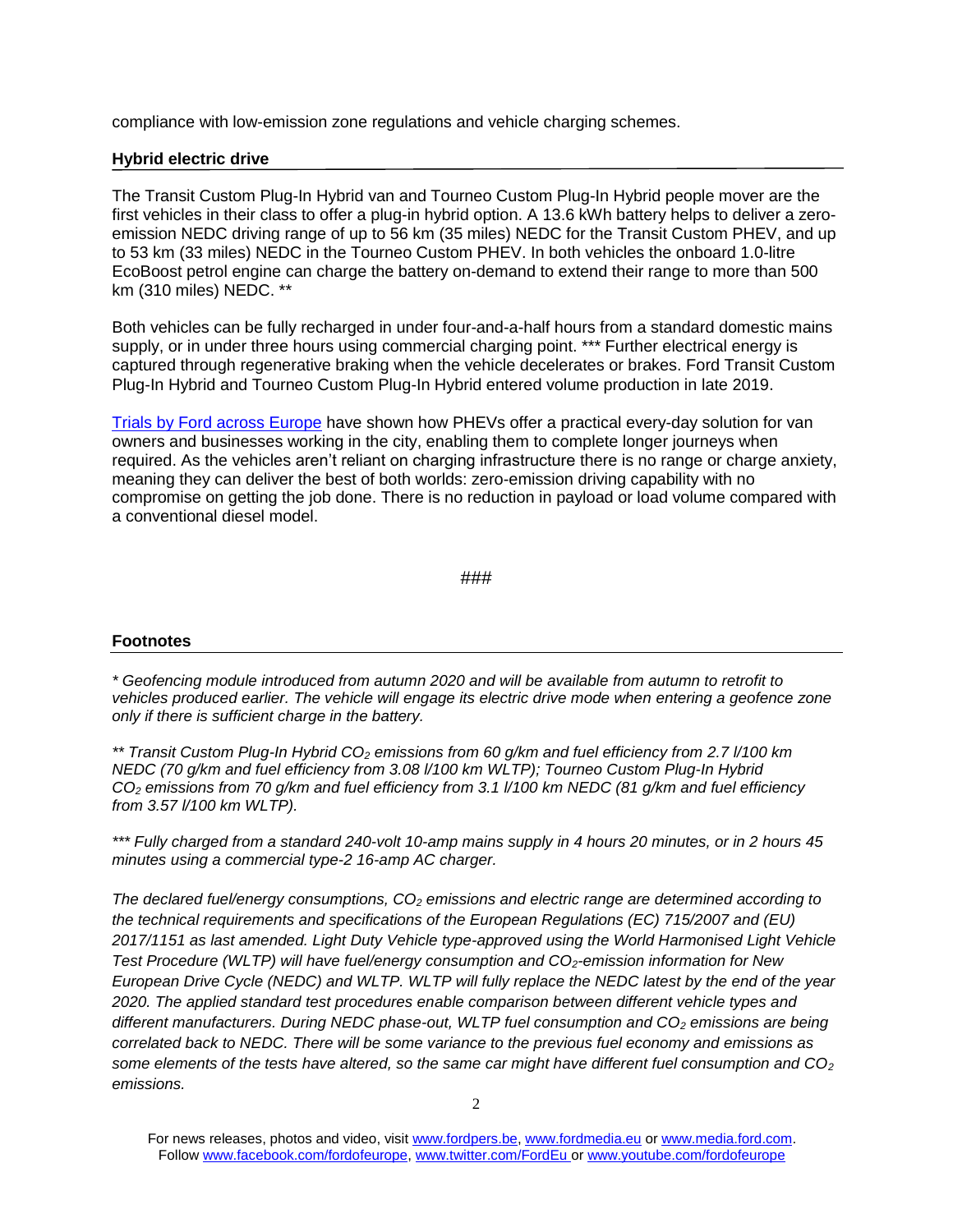compliance with low-emission zone regulations and vehicle charging schemes.

## **Hybrid electric drive**

The Transit Custom Plug-In Hybrid van and Tourneo Custom Plug-In Hybrid people mover are the first vehicles in their class to offer a plug-in hybrid option. A 13.6 kWh battery helps to deliver a zeroemission NEDC driving range of up to 56 km (35 miles) NEDC for the Transit Custom PHEV, and up to 53 km (33 miles) NEDC in the Tourneo Custom PHEV. In both vehicles the onboard 1.0-litre EcoBoost petrol engine can charge the battery on-demand to extend their range to more than 500 km (310 miles) NEDC. \*\*

Both vehicles can be fully recharged in under four-and-a-half hours from a standard domestic mains supply, or in under three hours using commercial charging point. \*\*\* Further electrical energy is captured through regenerative braking when the vehicle decelerates or brakes. Ford Transit Custom Plug-In Hybrid and Tourneo Custom Plug-In Hybrid entered volume production in late 2019.

[Trials by Ford across Europe](https://media.ford.com/content/fordmedia/feu/en/news/2019/07/08/hybrid-electric-vans-present-practical--accessible-solution-for-.html) have shown how PHEVs offer a practical every-day solution for van owners and businesses working in the city, enabling them to complete longer journeys when required. As the vehicles aren't reliant on charging infrastructure there is no range or charge anxiety, meaning they can deliver the best of both worlds: zero-emission driving capability with no compromise on getting the job done. There is no reduction in payload or load volume compared with a conventional diesel model.

###

## **Footnotes**

*\* Geofencing module introduced from autumn 2020 and will be available from autumn to retrofit to vehicles produced earlier. The vehicle will engage its electric drive mode when entering a geofence zone only if there is sufficient charge in the battery.*

*\*\* Transit Custom Plug-In Hybrid CO<sup>2</sup> emissions from 60 g/km and fuel efficiency from 2.7 l/100 km NEDC (70 g/km and fuel efficiency from 3.08 l/100 km WLTP); Tourneo Custom Plug-In Hybrid CO<sup>2</sup> emissions from 70 g/km and fuel efficiency from 3.1 l/100 km NEDC (81 g/km and fuel efficiency from 3.57 l/100 km WLTP).*

*\*\*\* Fully charged from a standard 240-volt 10-amp mains supply in 4 hours 20 minutes, or in 2 hours 45 minutes using a commercial type-2 16-amp AC charger.*

*The declared fuel/energy consumptions, CO<sup>2</sup> emissions and electric range are determined according to the technical requirements and specifications of the European Regulations (EC) 715/2007 and (EU) 2017/1151 as last amended. Light Duty Vehicle type-approved using the World Harmonised Light Vehicle Test Procedure (WLTP) will have fuel/energy consumption and CO2-emission information for New European Drive Cycle (NEDC) and WLTP. WLTP will fully replace the NEDC latest by the end of the year 2020. The applied standard test procedures enable comparison between different vehicle types and different manufacturers. During NEDC phase-out, WLTP fuel consumption and CO<sup>2</sup> emissions are being correlated back to NEDC. There will be some variance to the previous fuel economy and emissions as some elements of the tests have altered, so the same car might have different fuel consumption and CO<sup>2</sup> emissions.*

For news releases, photos and video, visit [www.fordpers.be,](http://www.fordpers.be/) [www.fordmedia.eu](http://www.fordmedia.eu/) or [www.media.ford.com.](http://www.media.ford.com/) Follo[w www.facebook.com/fordofeurope,](http://www.facebook.com/fordofeurope) [www.twitter.com/FordEu](http://www.twitter.com/FordEu) o[r www.youtube.com/fordofeurope](http://www.youtube.com/fordofeurope)